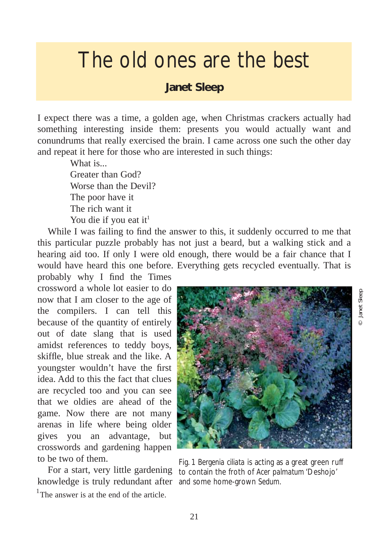## The old ones are the best

## **Janet Sleep**

I expect there was a time, a golden age, when Christmas crackers actually had something interesting inside them: presents you would actually want and conundrums that really exercised the brain. I came across one such the other day and repeat it here for those who are interested in such things:

> What is... Greater than God? Worse than the Devil? The poor have it The rich want it You die if you eat it<sup>1</sup>

While I was failing to find the answer to this, it suddenly occurred to me that this particular puzzle probably has not just a beard, but a walking stick and a hearing aid too. If only I were old enough, there would be a fair chance that I would have heard this one before. Everything gets recycled eventually. That is

probably why I find the Times crossword a whole lot easier to do now that I am closer to the age of the compilers. I can tell this because of the quantity of entirely out of date slang that is used amidst references to teddy boys, skiffle, blue streak and the like. A youngster wouldn't have the first idea. Add to this the fact that clues are recycled too and you can see that we oldies are ahead of the game. Now there are not many arenas in life where being older gives you an advantage, but crosswords and gardening happen to be two of them.

knowledge is truly redundant after and some home-grown *Sedum*.<sup>1</sup>The answer is at the end of the article.



© Janet Sleep

lanet Sleep

For a start, very little gardening to contain the froth of *Acer palmatum* 'Deshojo' Fig. 1 *Bergenia ciliata* is acting as a great green ruff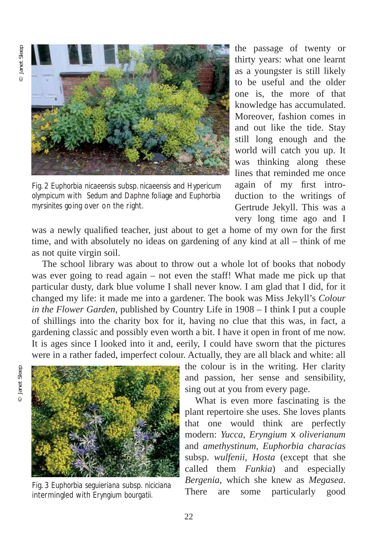

Fig. 2 *Euphorbia nicaeensis* subsp*. nicaeensis* and *Hypericum olympicum* with *Sedum* and *Daphne* foliage and *Euphorbia myrsinites* going over on the right.

the passage of twenty or thirty years: what one learnt as a youngster is still likely to be useful and the older one is, the more of that knowledge has accumulated. Moreover, fashion comes in and out like the tide. Stay still long enough and the world will catch you up. It was thinking along these lines that reminded me once again of my first introduction to the writings of Gertrude Jekyll. This was a very long time ago and I

was a newly qualified teacher, just about to get a home of my own for the first time, and with absolutely no ideas on gardening of any kind at all – think of me as not quite virgin soil.

The school library was about to throw out a whole lot of books that nobody was ever going to read again – not even the staff! What made me pick up that particular dusty, dark blue volume I shall never know. I am glad that I did, for it changed my life: it made me into a gardener. The book was Miss Jekyll's *Colour in the Flower Garden*, published by Country Life in 1908 – I think I put a couple of shillings into the charity box for it, having no clue that this was, in fact, a gardening classic and possibly even worth a bit. I have it open in front of me now. It is ages since I looked into it and, eerily, I could have sworn that the pictures were in a rather faded, imperfect colour. Actually, they are all black and white: all

the colour is in the writing. Her clarity and passion, her sense and sensibility, sing out at you from every page.

What is even more fascinating is the plant repertoire she uses. She loves plants that one would think are perfectly modern: *Yucca, Eryngium* x *oliverianum* and *amethystinum, Euphorbia characias* subsp. *wulfenii, Hosta* (except that she called them *Funkia*) and especially *Bergenia*, which she knew as *Megasea*. There are some particularly good



Fig. 3 *Euphorbia seguieriana* subsp. *niciciana* intermingled with *Eryngium bourgatii.*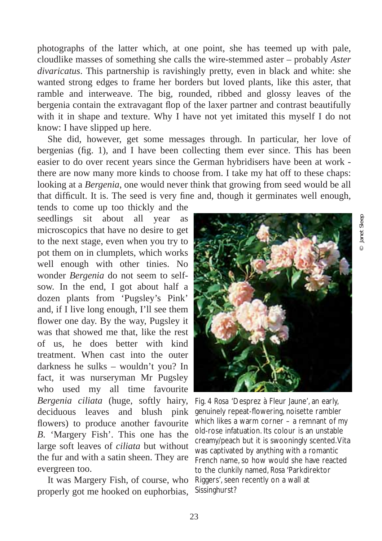photographs of the latter which, at one point, she has teemed up with pale, cloudlike masses of something she calls the wire-stemmed aster – probably *Aster divaricatus*. This partnership is ravishingly pretty, even in black and white: she wanted strong edges to frame her borders but loved plants, like this aster, that ramble and interweave. The big, rounded, ribbed and glossy leaves of the bergenia contain the extravagant flop of the laxer partner and contrast beautifully with it in shape and texture. Why I have not yet imitated this myself I do not know: I have slipped up here.

She did, however, get some messages through. In particular, her love of bergenias (fig. 1), and I have been collecting them ever since. This has been easier to do over recent years since the German hybridisers have been at work there are now many more kinds to choose from. I take my hat off to these chaps: looking at a *Bergenia*, one would never think that growing from seed would be all that difficult. It is. The seed is very fine and, though it germinates well enough,

tends to come up too thickly and the seedlings sit about all year as microscopics that have no desire to get to the next stage, even when you try to pot them on in clumplets, which works well enough with other tinies. No wonder *Bergenia* do not seem to selfsow. In the end, I got about half a dozen plants from 'Pugsley's Pink' and, if I live long enough, I'll see them flower one day. By the way, Pugsley it was that showed me that, like the rest of us, he does better with kind treatment. When cast into the outer darkness he sulks – wouldn't you? In fact, it was nurseryman Mr Pugsley who used my all time favourite *Bergenia ciliata* (huge, softly hairy, deciduous leaves and blush pink flowers) to produce another favourite *B*. 'Margery Fish'. This one has the large soft leaves of *ciliata* but without the fur and with a satin sheen. They are evergreen too.

It was Margery Fish, of course, who properly got me hooked on euphorbias,



Fig. 4 *Rosa* 'Desprez à Fleur Jaune', an early, genuinely repeat-flowering, noisette rambler which likes a warm corner – a remnant of my old-rose infatuation. Its colour is an unstable creamy/peach but it is swooningly scented.Vita was captivated by anything with a romantic French name, so how would she have reacted to the clunkily named, *Rosa* 'Parkdirektor Riggers', seen recently on a wall at Sissinghurst?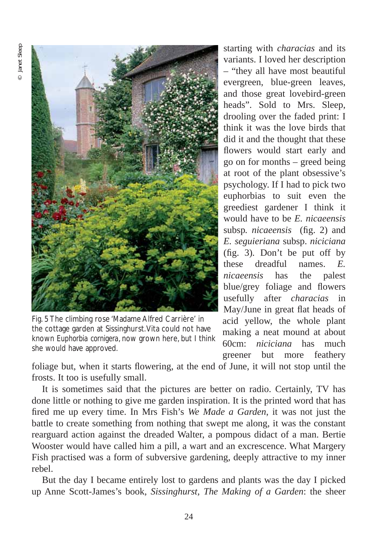

Fig. 5 The climbing rose 'Madame Alfred Carrière' in the cottage garden at Sissinghurst.Vita could not have known *Euphorbia cornigera*, now grown here, but I think she would have approved.

starting with *characias* and its variants. I loved her description – "they all have most beautiful evergreen, blue-green leaves, and those great lovebird-green heads". Sold to Mrs. Sleep, drooling over the faded print: I think it was the love birds that did it and the thought that these flowers would start early and go on for months – greed being at root of the plant obsessive's psychology. If I had to pick two euphorbias to suit even the greediest gardener I think it would have to be *E. nicaeensis* subsp*. nicaeensis* (fig. 2) and *E. seguieriana* subsp. *niciciana* (fig. 3)*.* Don't be put off by these dreadful names. *E. nicaeensis* has the palest blue/grey foliage and flowers usefully after *characias* in May/June in great flat heads of acid yellow, the whole plant making a neat mound at about 60cm: *niciciana* has much greener but more feathery

foliage but, when it starts flowering, at the end of June, it will not stop until the frosts. It too is usefully small.

It is sometimes said that the pictures are better on radio. Certainly, TV has done little or nothing to give me garden inspiration. It is the printed word that has fired me up every time. In Mrs Fish's *We Made a Garden*, it was not just the battle to create something from nothing that swept me along, it was the constant rearguard action against the dreaded Walter, a pompous didact of a man. Bertie Wooster would have called him a pill, a wart and an excrescence. What Margery Fish practised was a form of subversive gardening, deeply attractive to my inner rebel.

But the day I became entirely lost to gardens and plants was the day I picked up Anne Scott-James's book, *Sissinghurst, The Making of a Garden*: the sheer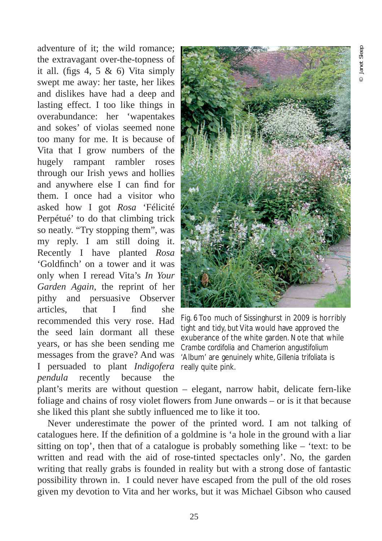adventure of it; the wild romance; the extravagant over-the-topness of it all. (figs 4, 5  $\&$  6) Vita simply swept me away: her taste, her likes and dislikes have had a deep and lasting effect. I too like things in overabundance: her 'wapentakes and sokes' of violas seemed none too many for me. It is because of Vita that I grow numbers of the hugely rampant rambler roses through our Irish yews and hollies and anywhere else I can find for them. I once had a visitor who asked how I got *Rosa* 'Félicité Perpétué' to do that climbing trick so neatly. "Try stopping them", was my reply. I am still doing it. Recently I have planted *Rosa* 'Goldfinch' on a tower and it was only when I reread Vita's *In Your Garden Again*, the reprint of her pithy and persuasive Observer articles, that I find she recommended this very rose. Had the seed lain dormant all these years, or has she been sending me messages from the grave? And was I persuaded to plant *Indigofera* really quite pink. *pendula* recently because the



Fig. 6 Too much of Sissinghurst in 2009 is horribly tight and tidy, but Vita would have approved the exuberance of the white garden. Note that while *Crambe cordifolia* and *Chamerion angustifolium* 'Album' are genuinely white, *Gillenia trifoliata* is

plant's merits are without question – elegant, narrow habit, delicate fern-like foliage and chains of rosy violet flowers from June onwards – or is it that because she liked this plant she subtly influenced me to like it too.

Never underestimate the power of the printed word. I am not talking of catalogues here. If the definition of a goldmine is 'a hole in the ground with a liar sitting on top', then that of a catalogue is probably something like – 'text: to be written and read with the aid of rose-tinted spectacles only'. No, the garden writing that really grabs is founded in reality but with a strong dose of fantastic possibility thrown in. I could never have escaped from the pull of the old roses given my devotion to Vita and her works, but it was Michael Gibson who caused